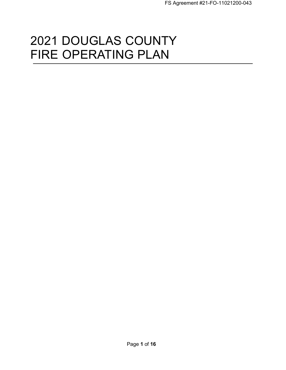# 2021 DOUGLAS COUNTY FIRE OPERATING PLAN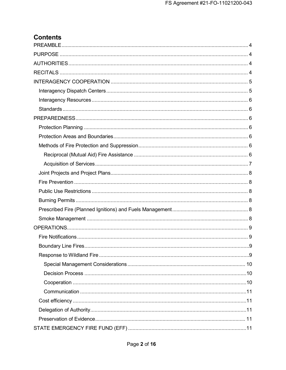# **Contents**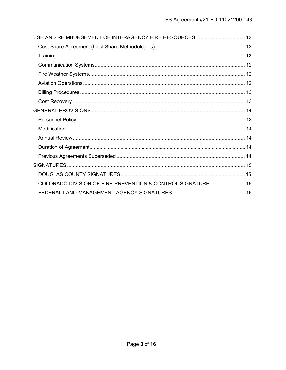| USE AND REIMBURSEMENT OF INTERAGENCY FIRE RESOURCES  12     |  |
|-------------------------------------------------------------|--|
|                                                             |  |
|                                                             |  |
|                                                             |  |
|                                                             |  |
|                                                             |  |
|                                                             |  |
|                                                             |  |
|                                                             |  |
|                                                             |  |
|                                                             |  |
|                                                             |  |
|                                                             |  |
|                                                             |  |
|                                                             |  |
|                                                             |  |
| COLORADO DIVISION OF FIRE PREVENTION & CONTROL SIGNATURE 15 |  |
|                                                             |  |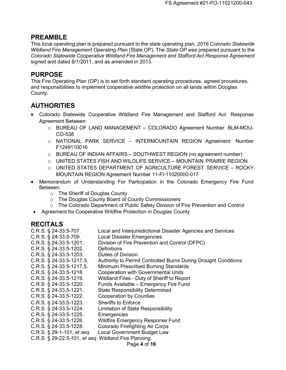# <span id="page-3-0"></span>**PREAMBLE**

This local operating plan is prepared pursuant to the state operating plan, *2016 Colorado Statewide Wildland Fire Management Operating Plan* (State OP). The *State OP* was prepared pursuant to the *Colorado Statewide Cooperative Wildland Fire Management and Stafford Act Response Agreement*  signed and dated 6/1/2011, and as amended in 2013.

# <span id="page-3-1"></span>**PURPOSE**

This Fire Operating Plan (OP) is to set forth standard operating procedures, agreed procedures, and responsibilities to implement cooperative wildfire protection on all lands within Douglas County.

# <span id="page-3-2"></span>**AUTHORITIES**

- Colorado Statewide Cooperative Wildland Fire Management and Stafford Act Response Agreement Between:
	- o BUREAU OF LAND MANAGEMENT COLORADO Agreement Number BLM-MOU-CO-538
	- o NATIONAL PARK SERVICE INTERMOUNTAIN REGION Agreement Number F1249110016
	- o BUREAU OF INDIAN AFFAIRS SOUTHWEST REGION (no agreement number)
	- $\circ$  UNITED STATES FISH AND WILDLIFE SERVICE MOUNTAIN PRAIRIE REGION
	- $\circ$  UNITED STATES DEPARTMENT OF AGRICULTURE FOREST SERVICE ROCKY MOUNTAIN REGION Agreement Number 11-FI-11020000-017
- Memorandum of Understanding For Participation in the Colorado Emergency Fire Fund Between:
	- o The Sheriff of Douglas County
	- o The Douglas County Board of County Commissioners
	- o The Colorado Department of Public Safety Division of Fire Prevention and Control
	- Agreement for Cooperative Wildfire Protection in Douglas County

# <span id="page-3-3"></span>**RECITALS**

| $C.R.S.$ § 24-33.5-707.                              | Local and Interjurisdictional Disaster Agencies and Services   |
|------------------------------------------------------|----------------------------------------------------------------|
| C.R.S. § 24-33.5-709.                                | <b>Local Disaster Emergencies</b>                              |
| C.R.S. § 24-33.5-1201.                               | Division of Fire Prevention and Control (DFPC)                 |
| C.R.S. § 24-33.5-1202.                               | <b>Definitions</b>                                             |
| C.R.S. § 24-33.5-1203.                               | Duties of Division                                             |
| $C.R.S.$ § 24-33.5-1217.3.                           | Authority to Permit Controlled Burns During Drought Conditions |
| C.R.S. § 24-33.5-1217.5.                             | Minimum Prescribed Burning Standards                           |
| $C.R.S.$ § 24-33.5-1218.                             | <b>Cooperation with Governmental Units</b>                     |
| $C.R.S.$ § 24-33.5-1219.                             | Wildland Fires - Duty of Sheriff to Report                     |
| $C.R.S.$ § 24-33.5-1220.                             | Funds Available - Emergency Fire Fund                          |
| $C.R.S.$ § 24-33.5-1221.                             | <b>State Responsibility Determined</b>                         |
| $C.R.S.$ § 24-33.5-1222.                             | <b>Cooperation by Counties</b>                                 |
| C.R.S. § 24-33.5-1223.                               | <b>Sheriffs to Enforce</b>                                     |
| $C.R.S.$ § 24-33.5-1224.                             | Limitation of State Responsibility                             |
| $C.R.S.$ § 24-33.5-1225.                             | Emergencies                                                    |
| $C.R.S.$ § 24-33.5-1226.                             | <b>Wildfire Emergency Response Fund</b>                        |
| $C.R.S.$ § 24-33.5-1228.                             | <b>Colorado Firefighting Air Corps</b>                         |
| C.R.S. § 29-1-101, et seq.                           | Local Government Budget Law                                    |
| C.R.S. § 29-22.5-101, et seq. Wildland Fire Planning |                                                                |
|                                                      |                                                                |

Page **4** of **16**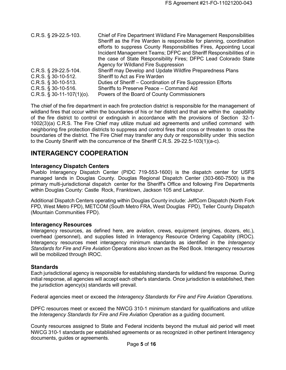| $C.R.S.$ § 29-22.5-103.<br>Chief of Fire Department Wildland Fire Management Responsibilities |  |
|-----------------------------------------------------------------------------------------------|--|
| Sheriff as the Fire Warden is responsible for planning, coordination                          |  |
| efforts to suppress County Responsibilities Fires, Appointing Local                           |  |
| Incident Management Teams; DFPC and Sheriff Responsibilities of in                            |  |
| the case of State Responsibility Fires; DFPC Lead Colorado State                              |  |
| Agency for Wildland Fire Suppression                                                          |  |
| C.R.S. § 29-22.5-104.<br>Sheriff may Develop and Update Wildfire Preparedness Plans           |  |
| $C.R.S.$ § 30-10-512.<br>Sheriff to Act as Fire Warden                                        |  |
| $C.R.S.$ § 30-10-513.<br>Duties of Sheriff – Coordination of Fire Suppression Efforts         |  |
| $C.R.S.$ § 30-10-516.<br>Sheriffs to Preserve Peace - Command Aid                             |  |
| $C.R.S.$ § 30-11-107(1)(o).<br>Powers of the Board of County Commissioners                    |  |

The chief of the fire department in each fire protection district is responsible for the management of wildland fires that occur within the boundaries of his or her district and that are within the capability of the fire district to control or extinguish in accordance with the provisions of Section 32-1- 1002(3)(a) C.R.S. The Fire Chief may utilize mutual aid agreements and unified command with neighboring fire protection districts to suppress and control fires that cross or threaten to cross the boundaries of the district. The Fire Chief may transfer any duty or responsibility under this section to the County Sheriff with the concurrence of the Sheriff C.R.S. 29-22.5-103(1)(a-c).

# <span id="page-4-0"></span>**INTERAGENCY COOPERATION**

#### <span id="page-4-1"></span>**Interagency Dispatch Centers**

Pueblo Interagency Dispatch Center (PIDC 719-553-1600) is the dispatch center for USFS managed lands in Douglas County. Douglas Regional Dispatch Center (303-660-7500) is the primary multi-jurisdictional dispatch center for the Sheriff's Office and following Fire Departments within Douglas County: Castle Rock, Franktown, Jackson 105 and Larkspur.

Additional Dispatch Centers operating within Douglas County include: JeffCom Dispatch (North Fork FPD, West Metro FPD), METCOM (South Metro FRA, West Douglas FPD), Teller County Dispatch (Mountain Communities FPD).

#### <span id="page-4-2"></span>**Interagency Resources**

<span id="page-4-3"></span>Interagency resources, as defined here, are aviation, crews, equipment (engines, dozers, etc.), overhead (personnel), and supplies listed in Interagency Resource Ordering Capability (IROC). Interagency resources meet interagency minimum standards as identified in the *Interagency Standards for Fire and Fire Aviation* Operations also known as the Red Book. Interagency resources will be mobilized through IROC.

#### **Standards**

Each jurisdictional agency is responsible for establishing standards for wildland fire response. During initial response, all agencies will accept each other's standards. Once jurisdiction is established, then the jurisdiction agency(s) standards will prevail.

Federal agencies meet or exceed the *Interagency Standards for Fire and Fire Aviation Operations.*

DPFC resources meet or exceed the NWCG 310-1 minimum standard for qualifications and utilize the *Interagency Standards for Fire and Fire Aviation Operation* as a guiding document.

County resources assigned to State and Federal incidents beyond the mutual aid period will meet NWCG 310-1 standards per established agreements or as recognized in other pertinent Interagency documents, guides or agreements.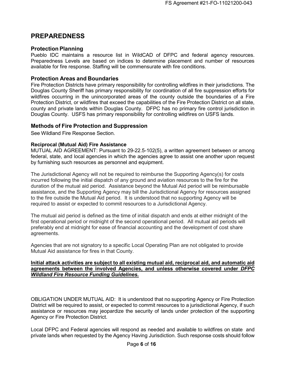# <span id="page-5-0"></span>**PREPAREDNESS**

#### <span id="page-5-1"></span>**Protection Planning**

Pueblo IDC maintains a resource list in WildCAD of DFPC and federal agency resources. Preparedness Levels are based on indices to determine placement and number of resources available for fire response. Staffing will be commensurate with fire conditions.

#### <span id="page-5-2"></span>**Protection Areas and Boundaries**

Fire Protection Districts have primary responsibility for controlling wildfires in their jurisdictions. The Douglas County Sheriff has primary responsibility for coordination of all fire suppression efforts for wildfires occurring in the unincorporated areas of the county outside the boundaries of a Fire Protection District, or wildfires that exceed the capabilities of the Fire Protection District on all state, county and private lands within Douglas County. DFPC has no primary fire control jurisdiction in Douglas County. USFS has primary responsibility for controlling wildfires on USFS lands.

#### <span id="page-5-3"></span>**Methods of Fire Protection and Suppression**

See Wildland Fire Response Section.

#### <span id="page-5-4"></span>**Reciprocal (Mutual Aid) Fire Assistance**

<span id="page-5-5"></span>MUTUAL AID AGREEMENT: Pursuant to 29-22.5-102(5), a written agreement between or among federal, state, and local agencies in which the agencies agree to assist one another upon request by furnishing such resources as personnel and equipment.

The Jurisdictional Agency will not be required to reimburse the Supporting Agency(s) for costs incurred following the initial dispatch of any ground and aviation resources to the fire for the duration of the mutual aid period. Assistance beyond the Mutual Aid period will be reimbursable assistance, and the Supporting Agency may bill the Jurisdictional Agency for resources assigned to the fire outside the Mutual Aid period. It is understood that no supporting Agency will be required to assist or expected to commit resources to a Jurisdictional Agency.

The mutual aid period is defined as the time of initial dispatch and ends at either midnight of the first operational period or midnight of the second operational period. All mutual aid periods will preferably end at midnight for ease of financial accounting and the development of cost share agreements.

Agencies that are not signatory to a specific Local Operating Plan are not obligated to provide Mutual Aid assistance for fires in that County.

#### **Initial attack activities are subject to all existing mutual aid, reciprocal aid, and automatic aid agreements between the involved Agencies, and unless otherwise covered under** *DFPC Wildland Fire Resource Funding Guidelines.*

OBLIGATION UNDER MUTUAL AID: It is understood that no supporting Agency or Fire Protection District will be required to assist, or expected to commit resources to a jurisdictional Agency, if such assistance or resources may jeopardize the security of lands under protection of the supporting Agency or Fire Protection District.

Local DFPC and Federal agencies will respond as needed and available to wildfires on state and private lands when requested by the Agency Having Jurisdiction. Such response costs should follow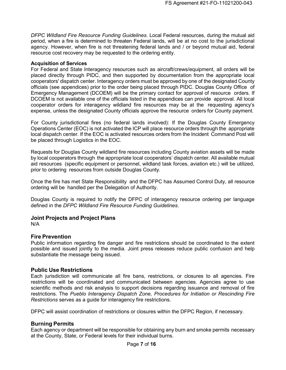*DFPC Wildland Fire Resource Funding Guidelines*. Local Federal resources, during the mutual aid period, when a fire is determined to threaten Federal lands, will be at no cost to the jurisdictional agency. However, when fire is not threatening federal lands and / or beyond mutual aid, federal resource cost recovery may be requested to the ordering entity.

#### **Acquisition of Services**

For Federal and State Interagency resources such as aircraft/crews/equipment, all orders will be placed directly through PIDC, and then supported by documentation from the appropriate local cooperators' dispatch center. Interagency orders must be approved by one of the designated County officials (see appendices) prior to the order being placed through PIDC. Douglas County Office of Emergency Management (DCOEM) will be the primary contact for approval of resource orders. If DCOEM is not available one of the officials listed in the appendices can provide approval. All local cooperator orders for interagency wildland fire resources may be at the requesting agency's expense, unless the designated County officials approve the resource orders for County payment.

For County jurisdictional fires (no federal lands involved): If the Douglas County Emergency Operations Center (EOC) is not activated the ICP will place resource orders through the appropriate local dispatch center. If the EOC is activated resources orders from the Incident Command Post will be placed through Logistics in the EOC.

Requests for Douglas County wildland fire resources including County aviation assets will be made by local cooperators through the appropriate local cooperators' dispatch center. All available mutual aid resources (specific equipment or personnel, wildland task forces, aviation etc.) will be utilized, prior to ordering resources from outside Douglas County.

Once the fire has met State Responsibility and the DFPC has Assumed Control Duty, all resource ordering will be handled per the Delegation of Authority.

<span id="page-6-0"></span>Douglas County is required to notify the DFPC of interagency resource ordering per language defined in the *DFPC Wildland Fire Resource Funding Guidelines*.

#### **Joint Projects and Project Plans**

<span id="page-6-1"></span>N/A

#### **Fire Prevention**

Public information regarding fire danger and fire restrictions should be coordinated to the extent possible and issued jointly to the media. Joint press releases reduce public confusion and help substantiate the message being issued.

#### <span id="page-6-2"></span>**Public Use Restrictions**

Each jurisdiction will communicate all fire bans, restrictions, or closures to all agencies. Fire restrictions will be coordinated and communicated between agencies. Agencies agree to use scientific methods and risk analysis to support decisions regarding issuance and removal of fire restrictions. The *Pueblo Interagency Dispatch Zone, Procedures for Initiation or Rescinding Fire Restrictions* serves as a guide for interagency fire restrictions.

<span id="page-6-3"></span>DFPC will assist coordination of restrictions or closures within the DFPC Region, if necessary.

#### **Burning Permits**

Each agency or department will be responsible for obtaining any burn and smoke permits necessary at the County, State, or Federal levels for their individual burns.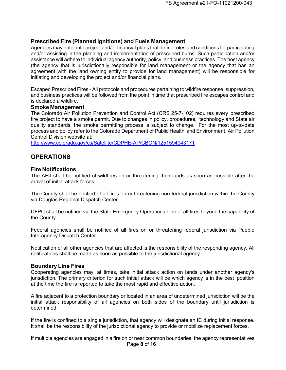#### <span id="page-7-0"></span>**Prescribed Fire (Planned Ignitions) and Fuels Management**

Agencies may enter into project and/or financial plans that define roles and conditions for participating and/or assisting in the planning and implementation of prescribed burns. Such participation and/or assistance will adhere to individual agency authority, policy, and business practices. The host agency (the agency that is jurisdictionally responsible for land management or the agency that has an agreement with the land owning entity to provide for land management) will be responsible for initiating and developing the project and/or financial plans.

Escaped Prescribed Fires - All protocols and procedures pertaining to wildfire response, suppression, and business practices will be followed from the point in time that prescribed fire escapes control and is declared a wildfire.

#### <span id="page-7-1"></span>**Smoke Management**

The Colorado Air Pollution Prevention and Control Act (CRS 25-7-102) requires every prescribed fire project to have a smoke permit. Due to changes in policy, procedures, technology and State air quality standards, the smoke permitting process is subject to change. For the most up-to-date process and policy refer to the Colorado Department of Public Health and Environment, Air Pollution Control Division website at:

<span id="page-7-2"></span><http://www.colorado.gov/cs/Satellite/CDPHE-AP/CBON/1251594943171>

## <span id="page-7-3"></span>**OPERATIONS**

#### **Fire Notifications**

The AHJ shall be notified of wildfires on or threatening their lands as soon as possible after the arrival of initial attack forces.

The County shall be notified of all fires on or threatening non-federal jurisdiction within the County via Douglas Regional Dispatch Center.

DFPC shall be notified via the State Emergency Operations Line of all fires beyond the capability of the County.

Federal agencies shall be notified of all fires on or threatening federal jurisdiction via Pueblo Interagency Dispatch Center.

Notification of all other agencies that are affected is the responsibility of the responding agency. All notifications shall be made as soon as possible to the jurisdictional agency.

#### <span id="page-7-4"></span>**Boundary Line Fires**

Cooperating agencies may, at times, take initial attack action on lands under another agency's jurisdiction. The primary criterion for such initial attack will be which agency is in the best position at the time the fire is reported to take the most rapid and effective action.

A fire adjacent to a protection boundary or located in an area of undetermined jurisdiction will be the initial attack responsibility of all agencies on both sides of the boundary until jurisdiction is determined.

If the fire is confined to a single jurisdiction, that agency will designate an IC during initial response. It shall be the responsibility of the jurisdictional agency to provide or mobilize replacement forces.

Page **8** of **16** If multiple agencies are engaged in a fire on or near common boundaries, the agency representatives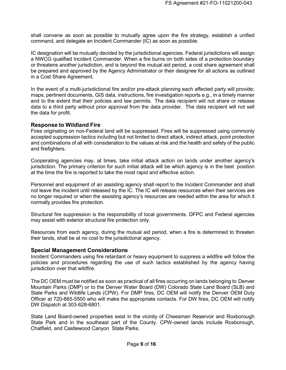shall convene as soon as possible to mutually agree upon the fire strategy, establish a unified command, and delegate an Incident Commander (IC) as soon as possible.

IC designation will be mutually decided by the jurisdictional agencies. Federal jurisdictions will assign a NWCG qualified Incident Commander. When a fire burns on both sides of a protection boundary or threatens another jurisdiction, and is beyond the mutual aid period, a cost share agreement shall be prepared and approved by the Agency Administrator or their designee for all actions as outlined in a Cost Share Agreement.

<span id="page-8-0"></span>In the event of a multi-jurisdictional fire and/or pre-attack planning each affected party will provide; maps, pertinent documents, GIS data, instructions, fire investigation reports e.g., in a timely manner and to the extent that their policies and law permits. The data recipient will not share or release data to a third party without prior approval from the data provider. The data recipient will not sell the data for profit.

#### **Response to Wildland Fire**

Fires originating on non-Federal land will be suppressed. Fires will be suppressed using commonly accepted suppression tactics including but not limited to direct attack, indirect attack, point protection and combinations of all with consideration to the values at risk and the health and safety of the public and firefighters.

Cooperating agencies may, at times, take initial attack action on lands under another agency's jurisdiction. The primary criterion for such initial attack will be which agency is in the best position at the time the fire is reported to take the most rapid and effective action.

Personnel and equipment of an assisting agency shall report to the Incident Commander and shall not leave the incident until released by the IC. The IC will release resources when their services are no longer required or when the assisting agency's resources are needed within the area for which it normally provides fire protection.

Structural fire suppression is the responsibility of local governments. DFPC and Federal agencies may assist with exterior structural fire protection only.

Resources from each agency, during the mutual aid period, when a fire is determined to threaten their lands, shall be at no cost to the jurisdictional agency.

#### <span id="page-8-1"></span>**Special Management Considerations**

Incident Commanders using fire retardant or heavy equipment to suppress a wildfire will follow the policies and procedures regarding the use of such tactics established by the agency having jurisdiction over that wildfire.

The DC OEM must be notified as soon as practical of all fires occurring on lands belonging to Denver Mountain Parks (DMP) or to the Denver Water Board (DW) Colorado State Land Board (SLB) and State Parks and Wildlife Lands (CPW). For DMP fires, DC OEM will notify the Denver OEM Duty Officer at 720-865-5500 who will make the appropriate contacts. For DW fires, DC OEM will notify DW Dispatch at 303-628-6801.

State Land Board-owned properties exist in the vicinity of Cheesman Reservoir and Roxborough State Park and in the southeast part of the County. CPW-owned lands include Roxborough, Chatfield, and Castlewood Canyon State Parks.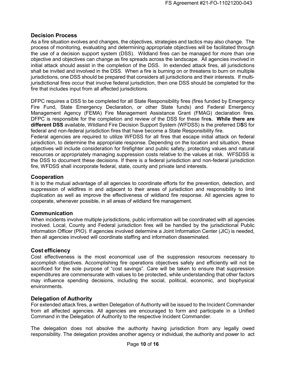#### <span id="page-9-1"></span><span id="page-9-0"></span>**Decision Process**

As a fire situation evolves and changes, the objectives, strategies and tactics may also change. The process of monitoring, evaluating and determining appropriate objectives will be facilitated through the use of a decision support system (DSS). Wildland fires can be managed for more than one objective and objectives can change as fire spreads across the landscape. All agencies involved in initial attack should assist in the completion of the DSS. In extended attack fires, all jurisdictions shall be invited and involved in the DSS. When a fire is burning on or threatens to burn on multiple jurisdictions, one DSS should be prepared that considers all jurisdictions and their interests. If multijurisdictional fires occur that involve federal jurisdiction, then one DSS should be completed for the fire that includes input from all affected jurisdictions.

DFPC requires a DSS to be completed for all State Responsibility fires (fires funded by Emergency Fire Fund, State Emergency Declaration, or other State funds) and Federal Emergency Management Agency (FEMA) Fire Management Assistance Grant (FMAG) declaration fires. DFPC is responsible for the completion and review of the DSS for these fire**s. While there are different DSS** available, Wildland Fire Decision Support System (WFDSS) is the preferred D**S**S for federal and non-federal jurisdiction fires that have become a State Responsibility fire.

Federal agencies are required to utilize WFDSS for all fires that escape initial attack on federal jurisdiction, to determine the appropriate response. Depending on the location and situation, these objectives will include consideration for firefighter and public safety, protecting values and natural resources or appropriately managing suppression costs relative to the values at risk. WFSDSS is the DSS to document these decisions. If there is a federal jurisdiction and non-federal jurisdiction fire, WFDSS shall incorporate federal, state, county and private land interests.

#### **Cooperation**

It is to the mutual advantage of all agencies to coordinate efforts for the prevention, detection, and suppression of wildfires in and adjacent to their areas of jurisdiction and responsibility to limit duplication as well as improve the effectiveness of wildland fire response. All agencies agree to cooperate, whenever possible, in all areas of wildland fire management.

#### <span id="page-9-2"></span>**Communication**

When incidents involve multiple jurisdictions, public information will be coordinated with all agencies involved. Local, County and Federal jurisdiction fires will be handled by the jurisdictional Public Information Officer (PIO). If agencies involved determine a Joint Information Center (JIC) is needed, then all agencies involved will coordinate staffing and information disseminated.

#### <span id="page-9-3"></span>**Cost efficiency**

Cost effectiveness is the most economical use of the suppression resources necessary to accomplish objectives. Accomplishing fire operations objectives safely and efficiently will not be sacrificed for the sole purpose of "cost savings". Care will be taken to ensure that suppression expenditures are commensurate with values to be protected, while understanding that other factors may influence spending decisions, including the social, political, economic, and biophysical environments.

#### <span id="page-9-4"></span>**Delegation of Authority**

<span id="page-9-5"></span>For extended attack fires, a written Delegation of Authority will be issued to the Incident Commander from all affected agencies. All agencies are encouraged to form and participate in a Unified Command in the Delegation of Authority to the respective Incident Commander.

The delegation does not absolve the authority having jurisdiction from any legally owed responsibility. The delegation provides another agency or individual, the authority and power to act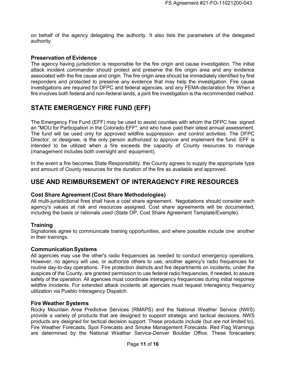on behalf of the agency delegating the authority. It also lists the parameters of the delegated authority.

#### **Preservation of Evidence**

The agency having jurisdiction is responsible for the fire origin and cause investigation. The initial attack incident commander should protect and preserve the fire origin area and any evidence associated with the fire cause and origin. The fire origin area should be immediately identified by first responders and protected to preserve any evidence that may help the investigation. Fire cause investigations are required for DFPC and federal agencies, and any FEMA-declaration fire. When a fire involves both federal and non-federal lands, a joint fire investigation is the recommended method.

# <span id="page-10-0"></span>**STATE EMERGENCY FIRE FUND (EFF)**

The Emergency Fire Fund (EFF) may be used to assist counties with whom the DFPC has signed an "MOU for Participation in the Colorado EFF", and who have paid their latest annual assessment. The fund will be used only for approved wildfire suppression and control activities. The DFPC Director, or designee, is the only person authorized to approve and implement the fund. EFF is intended to be utilized when a fire exceeds the capacity of County resources to manage (management includes both oversight and equipment).

In the event a fire becomes State Responsibility, the County agrees to supply the appropriate type and amount of County resources for the duration of the fire as available and approved.

# <span id="page-10-2"></span><span id="page-10-1"></span>**USE AND REIMBURSEMENT OF INTERAGENCY FIRE RESOURCES**

#### **Cost Share Agreement (Cost Share Methodologies)**

All multi-jurisdictional fires shall have a cost share agreement. Negotiations should consider each agency's values at risk and resources assigned. Cost share agreements will be documented, including the basis or rationale used (State OP, Cost Share Agreement Template/Example).

#### <span id="page-10-3"></span>**Training**

Signatories agree to communicate training opportunities, and where possible include one another in their trainings.

#### <span id="page-10-4"></span>**CommunicationSystems**

All agencies may use the other's radio frequencies as needed to conduct emergency operations. However, no agency will use, or authorize others to use, another agency's radio frequencies for routine day-to-day operations. Fire protection districts and fire departments on incidents, under the auspices of the County, are granted permission to use federal radio frequencies, if needed, to assure safety of the operation. All agencies must coordinate interagency frequencies during initial response wildfire incidents. For extended attack incidents all agencies must request interagency frequency utilization via Pueblo Interagency Dispatch.

#### <span id="page-10-5"></span>**Fire Weather Systems**

Rocky Mountain Area Predictive Services (RMAPS) and the National Weather Service (NWS) provide a variety of products that are designed to support strategic and tactical decisions. NWS products are designed for tactical decision support. These products include (but are not limited to), Fire Weather Forecasts, Spot Forecasts and Smoke Management Forecasts. Red Flag Warnings are determined by the National Weather Service-Denver Boulder Office. These forecasters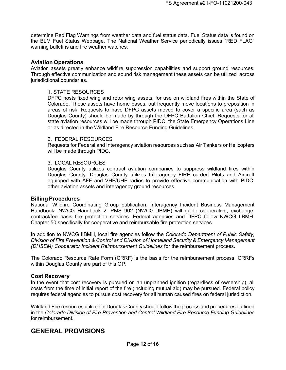determine Red Flag Warnings from weather data and fuel status data. Fuel Status data is found on the BLM Fuel Status Webpage. The National Weather Service periodically issues "RED FLAG" warning bulletins and fire weather watches.

#### <span id="page-11-0"></span>**Aviation Operations**

Aviation assets greatly enhance wildfire suppression capabilities and support ground resources. Through effective communication and sound risk management these assets can be utilized across jurisdictional boundaries.

#### 1. STATE RESOURCES

DFPC hosts fixed wing and rotor wing assets, for use on wildland fires within the State of Colorado. These assets have home bases, but frequently move locations to preposition in areas of risk. Requests to have DFPC assets moved to cover a specific area (such as Douglas County) should be made by through the DFPC Battalion Chief. Requests for all state aviation resources will be made through PIDC, the State Emergency Operations Line or as directed in the Wildland Fire Resource Funding Guidelines.

#### 2. FEDERAL RESOURCES

Requests for Federal and Interagency aviation resources such as Air Tankers or Helicopters will be made through PIDC.

#### 3. LOCAL RESOURCES

Douglas County utilizes contract aviation companies to suppress wildland fires within Douglas County. Douglas County utilizes Interagency FIRE carded Pilots and Aircraft equipped with AFF and VHF/UHF radios to provide effective communication with PIDC, other aviation assets and interagency ground resources.

#### <span id="page-11-1"></span>**Billing Procedures**

National Wildfire Coordinating Group publication, Interagency Incident Business Management Handbook, NWCG Handbook 2: PMS 902 (NWCG IIBMH) will guide cooperative, exchange, contract/fee basis fire protection services. Federal agencies and DFPC follow NWCG IIBMH, Chapter 50 specifically for cooperative and reimbursable fire protection services.

In addition to NWCG IIBMH, local fire agencies follow the *Colorado Department of Public Safety, Division of Fire Prevention & Control and Division of Homeland Security & Emergency Management (DHSEM) Cooperator Incident Reimbursement Guidelines* for the reimbursement process.

The Colorado Resource Rate Form (CRRF) is the basis for the reimbursement process. CRRFs within Douglas County are part of this OP.

#### <span id="page-11-2"></span>**Cost Recovery**

In the event that cost recovery is pursued on an unplanned ignition (regardless of ownership), all costs from the time of initial report of the fire (including mutual aid) may be pursued. Federal policy requires federal agencies to pursue cost recovery for all human caused fires on federal jurisdiction.

Wildland Fire resources utilized in Douglas County should follow the process and procedures outlined in the *Colorado Division of Fire Prevention and Control Wildland Fire Resource Funding Guidelines* for reimbursement.

# <span id="page-11-3"></span>**GENERAL PROVISIONS**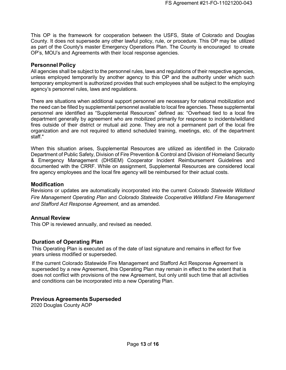This OP is the framework for cooperation between the USFS, State of Colorado and Douglas County. It does not supersede any other lawful policy, rule, or procedure. This OP may be utilized as part of the County's master Emergency Operations Plan. The County is encouraged to create OP's, MOU's and Agreements with their local response agencies.

#### <span id="page-12-0"></span>**Personnel Policy**

All agencies shall be subject to the personnel rules, laws and regulations of their respective agencies, unless employed temporarily by another agency to this OP and the authority under which such temporary employment is authorized provides that such employees shall be subject to the employing agency's personnel rules, laws and regulations.

There are situations when additional support personnel are necessary for national mobilization and the need can be filled by supplemental personnel available to local fire agencies. These supplemental personnel are identified as "Supplemental Resources" defined as: "Overhead tied to a local fire department generally by agreement who are mobilized primarily for response to incidents/wildland fires outside of their district or mutual aid zone. They are not a permanent part of the local fire organization and are not required to attend scheduled training, meetings, etc. of the department staff."

When this situation arises, Supplemental Resources are utilized as identified in the Colorado Department of Public Safety, Division of Fire Prevention & Control and Division of Homeland Security & Emergency Management (DHSEM) Cooperator Incident Reimbursement Guidelines and documented with the CRRF. While on assignment, Supplemental Resources are considered local fire agency employees and the local fire agency will be reimbursed for their actual costs.

#### <span id="page-12-1"></span>**Modification**

Revisions or updates are automatically incorporated into the current *Colorado Statewide Wildland Fire Management Operating Plan* and *Colorado Statewide Cooperative Wildland Fire Management and Stafford Act Response Agreement*, and as amended.

#### <span id="page-12-2"></span>**Annual Review**

<span id="page-12-3"></span>This OP is reviewed annually, and revised as needed.

#### **Duration of Operating Plan**

This Operating Plan is executed as of the date of last signature and remains in effect for five years unless modified or superseded.

If the current Colorado Statewide Fire Management and Stafford Act Response Agreement is superseded by a new Agreement, this Operating Plan may remain in effect to the extent that is does not conflict with provisions of the new Agreement, but only until such time that all activities and conditions can be incorporated into a new Operating Plan.

#### <span id="page-12-4"></span>**Previous Agreements Superseded**

2020 Douglas County AOP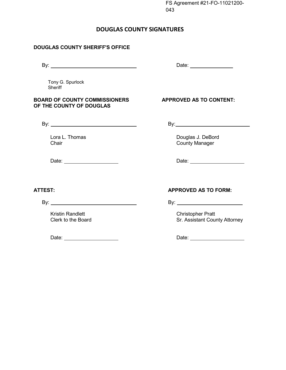FS Agreement #21-FO-11021200- 043

### **DOUGLAS COUNTY SIGNATURES**

#### <span id="page-13-0"></span>**DOUGLAS COUNTY SHERIFF'S OFFICE**

By: Date:

Tony G. Spurlock **Sheriff** 

#### **BOARD OF COUNTY COMMISSIONERS APPROVED AS TO CONTENT: OF THE COUNTY OF DOUGLAS**

By: By:

Lora L. Thomas **Douglas J. DeBord** Chair **Chair** Chair Chair Chair County Manager

Date: Date:

Kristin Randlett **Christopher Pratt** 

Date: Date:

### **ATTEST: APPROVED AS TO FORM:**

By: By:

Clerk to the Board Clerk to the Board Sr. Assistant County Attorney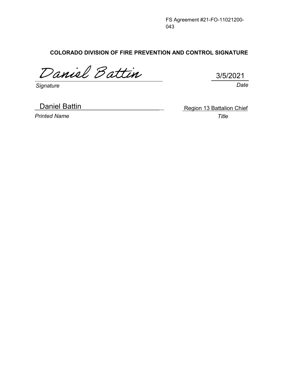FS Agreement #21-FO-11021200- 043

**COLORADO DIVISION OF FIRE PREVENTION AND CONTROL SIGNATURE**

Daniel Battin

*Signature Date*

**Daniel Battin** 

*Printed Name Title*

Region 13 Battalion Chief

3/5/2021